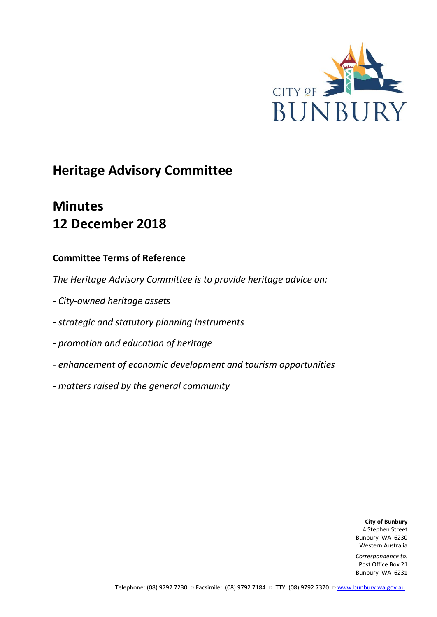

# **Heritage Advisory Committee**

# **Minutes 12 December 2018**

## **Committee Terms of Reference**

*The Heritage Advisory Committee is to provide heritage advice on:*

*- City-owned heritage assets*

*- strategic and statutory planning instruments*

*- promotion and education of heritage*

*- enhancement of economic development and tourism opportunities*

*- matters raised by the general community*

**City of Bunbury** 4 Stephen Street Bunbury WA 6230 Western Australia

*Correspondence to:* Post Office Box 21 Bunbury WA 6231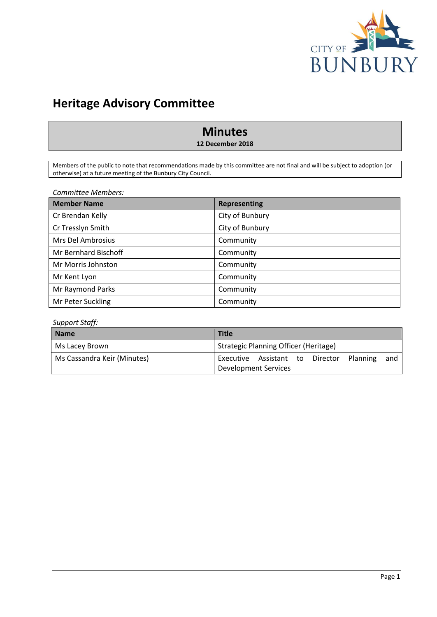

## **Heritage Advisory Committee**

## **Minutes**

**12 December 2018**

Members of the public to note that recommendations made by this committee are not final and will be subject to adoption (or otherwise) at a future meeting of the Bunbury City Council.

*Committee Members:*

| <b>Member Name</b>   | <b>Representing</b> |
|----------------------|---------------------|
| Cr Brendan Kelly     | City of Bunbury     |
| Cr Tresslyn Smith    | City of Bunbury     |
| Mrs Del Ambrosius    | Community           |
| Mr Bernhard Bischoff | Community           |
| Mr Morris Johnston   | Community           |
| Mr Kent Lyon         | Community           |
| Mr Raymond Parks     | Community           |
| Mr Peter Suckling    | Community           |

#### *Support Staff:*

| <b>Name</b>                 | <b>Title</b>                                    |
|-----------------------------|-------------------------------------------------|
| Ms Lacey Brown              | Strategic Planning Officer (Heritage)           |
| Ms Cassandra Keir (Minutes) | Executive Assistant to Director Planning<br>and |
|                             | Development Services                            |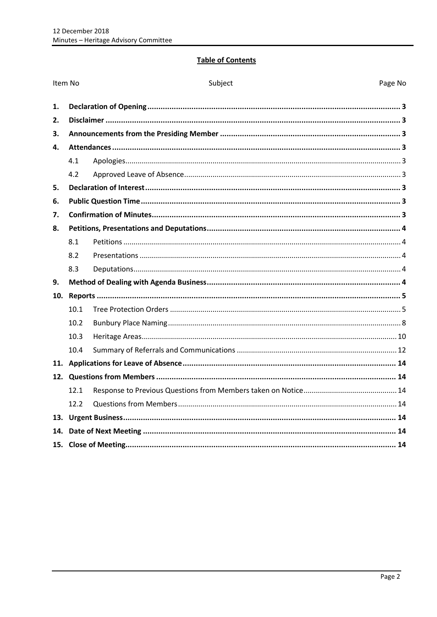## **Table of Contents**

| Item No |      | Subject | Page No |
|---------|------|---------|---------|
| 1.      |      |         |         |
| 2.      |      |         |         |
| 3.      |      |         |         |
| 4.      |      |         |         |
|         | 4.1  |         |         |
|         | 4.2  |         |         |
| 5.      |      |         |         |
| 6.      |      |         |         |
| 7.      |      |         |         |
| 8.      |      |         |         |
|         | 8.1  |         |         |
|         | 8.2  |         |         |
|         | 8.3  |         |         |
| 9.      |      |         |         |
| 10.     |      |         |         |
|         | 10.1 |         |         |
|         | 10.2 |         |         |
|         | 10.3 |         |         |
|         | 10.4 |         |         |
|         |      |         |         |
|         |      |         |         |
|         | 12.1 |         |         |
|         | 12.2 |         |         |
| 13.     |      |         |         |
| 14.     |      |         |         |
|         |      |         |         |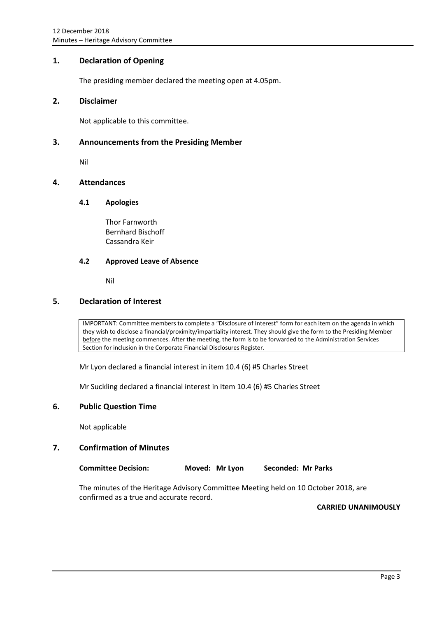## <span id="page-3-0"></span>**1. Declaration of Opening**

The presiding member declared the meeting open at 4.05pm.

#### <span id="page-3-1"></span>**2. Disclaimer**

Not applicable to this committee.

### <span id="page-3-2"></span>**3. Announcements from the Presiding Member**

Nil

## <span id="page-3-4"></span><span id="page-3-3"></span>**4. Attendances**

#### **4.1 Apologies**

Thor Farnworth Bernhard Bischoff Cassandra Keir

#### <span id="page-3-5"></span>**4.2 Approved Leave of Absence**

Nil

## <span id="page-3-6"></span>**5. Declaration of Interest**

IMPORTANT: Committee members to complete a "Disclosure of Interest" form for each item on the agenda in which they wish to disclose a financial/proximity/impartiality interest. They should give the form to the Presiding Member before the meeting commences. After the meeting, the form is to be forwarded to the Administration Services Section for inclusion in the Corporate Financial Disclosures Register.

Mr Lyon declared a financial interest in item 10.4 (6) #5 Charles Street

Mr Suckling declared a financial interest in Item 10.4 (6) #5 Charles Street

#### <span id="page-3-7"></span>**6. Public Question Time**

Not applicable

#### <span id="page-3-8"></span>**7. Confirmation of Minutes**

**Committee Decision: Moved: Mr Lyon Seconded: Mr Parks**

The minutes of the Heritage Advisory Committee Meeting held on 10 October 2018, are confirmed as a true and accurate record.

**CARRIED UNANIMOUSLY**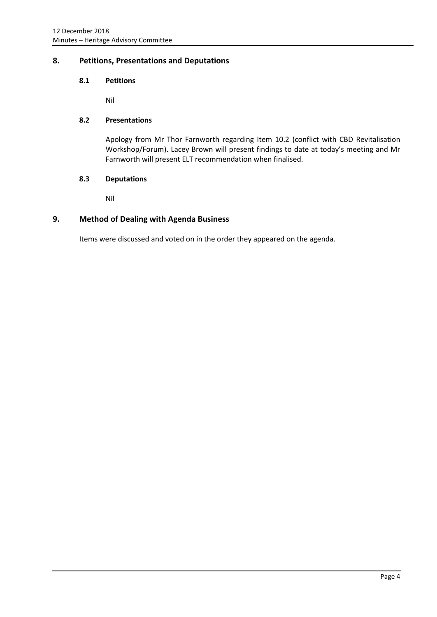## <span id="page-4-1"></span><span id="page-4-0"></span>**8. Petitions, Presentations and Deputations**

#### **8.1 Petitions**

Nil

### <span id="page-4-2"></span>**8.2 Presentations**

Apology from Mr Thor Farnworth regarding Item 10.2 (conflict with CBD Revitalisation Workshop/Forum). Lacey Brown will present findings to date at today's meeting and Mr Farnworth will present ELT recommendation when finalised.

#### <span id="page-4-3"></span>**8.3 Deputations**

Nil

## <span id="page-4-4"></span>**9. Method of Dealing with Agenda Business**

Items were discussed and voted on in the order they appeared on the agenda.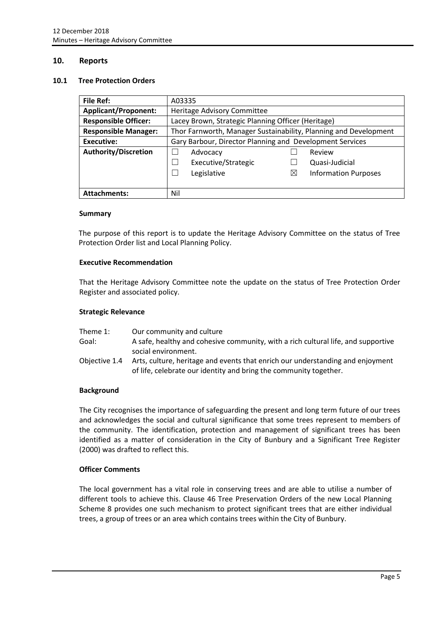#### <span id="page-5-0"></span>**10. Reports**

#### <span id="page-5-1"></span>**10.1 Tree Protection Orders**

| <b>File Ref:</b>            | A03335                                                           |   |                             |
|-----------------------------|------------------------------------------------------------------|---|-----------------------------|
| <b>Applicant/Proponent:</b> | Heritage Advisory Committee                                      |   |                             |
| <b>Responsible Officer:</b> | Lacey Brown, Strategic Planning Officer (Heritage)               |   |                             |
| <b>Responsible Manager:</b> | Thor Farnworth, Manager Sustainability, Planning and Development |   |                             |
| Executive:                  | Gary Barbour, Director Planning and Development Services         |   |                             |
| <b>Authority/Discretion</b> | Advocacy<br>Review                                               |   |                             |
|                             | Executive/Strategic                                              |   | Quasi-Judicial              |
|                             | Legislative                                                      | ⋈ | <b>Information Purposes</b> |
|                             |                                                                  |   |                             |
| <b>Attachments:</b>         | Nil                                                              |   |                             |

#### **Summary**

The purpose of this report is to update the Heritage Advisory Committee on the status of Tree Protection Order list and Local Planning Policy.

#### **Executive Recommendation**

That the Heritage Advisory Committee note the update on the status of Tree Protection Order Register and associated policy.

#### **Strategic Relevance**

| Theme 1:      | Our community and culture                                                                                                                           |
|---------------|-----------------------------------------------------------------------------------------------------------------------------------------------------|
| Goal:         | A safe, healthy and cohesive community, with a rich cultural life, and supportive<br>social environment.                                            |
| Obiective 1.4 | Arts, culture, heritage and events that enrich our understanding and enjoyment<br>of life, celebrate our identity and bring the community together. |

#### **Background**

The City recognises the importance of safeguarding the present and long term future of our trees and acknowledges the social and cultural significance that some trees represent to members of the community. The identification, protection and management of significant trees has been identified as a matter of consideration in the City of Bunbury and a Significant Tree Register (2000) was drafted to reflect this.

#### **Officer Comments**

The local government has a vital role in conserving trees and are able to utilise a number of different tools to achieve this. Clause 46 Tree Preservation Orders of the new Local Planning Scheme 8 provides one such mechanism to protect significant trees that are either individual trees, a group of trees or an area which contains trees within the City of Bunbury.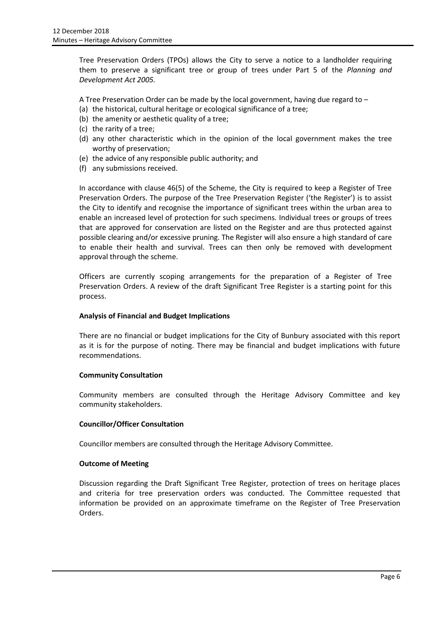Tree Preservation Orders (TPOs) allows the City to serve a notice to a landholder requiring them to preserve a significant tree or group of trees under Part 5 of the *Planning and Development Act 2005.*

A Tree Preservation Order can be made by the local government, having due regard to –

- (a) the historical, cultural heritage or ecological significance of a tree;
- (b) the amenity or aesthetic quality of a tree;
- (c) the rarity of a tree;
- (d) any other characteristic which in the opinion of the local government makes the tree worthy of preservation;
- (e) the advice of any responsible public authority; and
- (f) any submissions received.

In accordance with clause 46(5) of the Scheme, the City is required to keep a Register of Tree Preservation Orders. The purpose of the Tree Preservation Register ('the Register') is to assist the City to identify and recognise the importance of significant trees within the urban area to enable an increased level of protection for such specimens. Individual trees or groups of trees that are approved for conservation are listed on the Register and are thus protected against possible clearing and/or excessive pruning. The Register will also ensure a high standard of care to enable their health and survival. Trees can then only be removed with development approval through the scheme.

Officers are currently scoping arrangements for the preparation of a Register of Tree Preservation Orders. A review of the draft Significant Tree Register is a starting point for this process.

#### **Analysis of Financial and Budget Implications**

There are no financial or budget implications for the City of Bunbury associated with this report as it is for the purpose of noting. There may be financial and budget implications with future recommendations.

#### **Community Consultation**

Community members are consulted through the Heritage Advisory Committee and key community stakeholders.

#### **Councillor/Officer Consultation**

Councillor members are consulted through the Heritage Advisory Committee.

#### **Outcome of Meeting**

Discussion regarding the Draft Significant Tree Register, protection of trees on heritage places and criteria for tree preservation orders was conducted. The Committee requested that information be provided on an approximate timeframe on the Register of Tree Preservation Orders.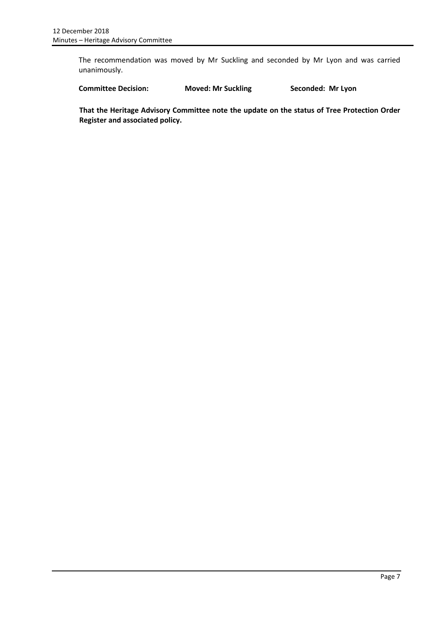The recommendation was moved by Mr Suckling and seconded by Mr Lyon and was carried unanimously.

**Committee Decision: Moved: Mr Suckling Seconded: Mr Lyon**

**That the Heritage Advisory Committee note the update on the status of Tree Protection Order Register and associated policy.**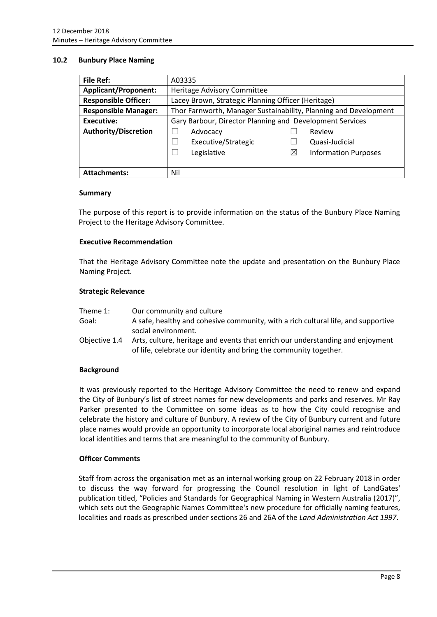#### <span id="page-8-0"></span>**10.2 Bunbury Place Naming**

| <b>File Ref:</b>            | A03335                                                           |          |                             |
|-----------------------------|------------------------------------------------------------------|----------|-----------------------------|
| <b>Applicant/Proponent:</b> | Heritage Advisory Committee                                      |          |                             |
| <b>Responsible Officer:</b> | Lacey Brown, Strategic Planning Officer (Heritage)               |          |                             |
| <b>Responsible Manager:</b> | Thor Farnworth, Manager Sustainability, Planning and Development |          |                             |
| <b>Executive:</b>           | Gary Barbour, Director Planning and Development Services         |          |                             |
| <b>Authority/Discretion</b> | Advocacy                                                         |          | Review                      |
|                             | Executive/Strategic                                              |          | Quasi-Judicial              |
|                             | Legislative                                                      | $\times$ | <b>Information Purposes</b> |
|                             |                                                                  |          |                             |
| <b>Attachments:</b>         | Nil                                                              |          |                             |

#### **Summary**

The purpose of this report is to provide information on the status of the Bunbury Place Naming Project to the Heritage Advisory Committee.

#### **Executive Recommendation**

That the Heritage Advisory Committee note the update and presentation on the Bunbury Place Naming Project.

#### **Strategic Relevance**

| Theme 1:      | Our community and culture                                                         |
|---------------|-----------------------------------------------------------------------------------|
| Goal:         | A safe, healthy and cohesive community, with a rich cultural life, and supportive |
|               | social environment.                                                               |
| Obiective 1.4 | Arts, culture, heritage and events that enrich our understanding and enjoyment    |
|               | of life, celebrate our identity and bring the community together.                 |

#### **Background**

It was previously reported to the Heritage Advisory Committee the need to renew and expand the City of Bunbury's list of street names for new developments and parks and reserves. Mr Ray Parker presented to the Committee on some ideas as to how the City could recognise and celebrate the history and culture of Bunbury. A review of the City of Bunbury current and future place names would provide an opportunity to incorporate local aboriginal names and reintroduce local identities and terms that are meaningful to the community of Bunbury.

#### **Officer Comments**

Staff from across the organisation met as an internal working group on 22 February 2018 in order to discuss the way forward for progressing the Council resolution in light of LandGates' publication titled, "Policies and Standards for Geographical Naming in Western Australia (2017)", which sets out the Geographic Names Committee's new procedure for officially naming features, localities and roads as prescribed under sections 26 and 26A of the *Land Administration Act 1997*.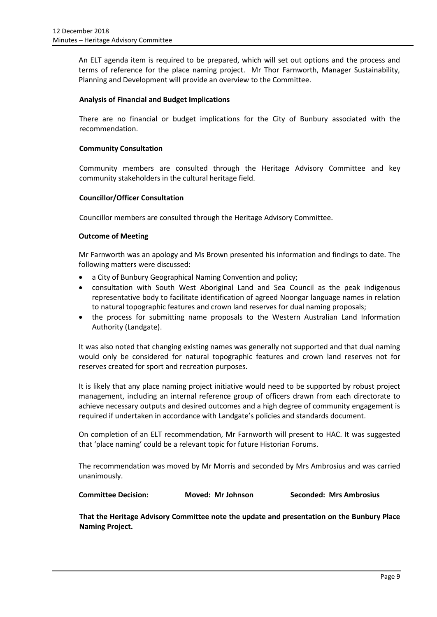An ELT agenda item is required to be prepared, which will set out options and the process and terms of reference for the place naming project. Mr Thor Farnworth, Manager Sustainability, Planning and Development will provide an overview to the Committee.

#### **Analysis of Financial and Budget Implications**

There are no financial or budget implications for the City of Bunbury associated with the recommendation.

#### **Community Consultation**

Community members are consulted through the Heritage Advisory Committee and key community stakeholders in the cultural heritage field.

#### **Councillor/Officer Consultation**

Councillor members are consulted through the Heritage Advisory Committee.

#### **Outcome of Meeting**

Mr Farnworth was an apology and Ms Brown presented his information and findings to date. The following matters were discussed:

- a City of Bunbury Geographical Naming Convention and policy;
- consultation with South West Aboriginal Land and Sea Council as the peak indigenous representative body to facilitate identification of agreed Noongar language names in relation to natural topographic features and crown land reserves for dual naming proposals;
- the process for submitting name proposals to the Western Australian Land Information Authority (Landgate).

It was also noted that changing existing names was generally not supported and that dual naming would only be considered for natural topographic features and crown land reserves not for reserves created for sport and recreation purposes.

It is likely that any place naming project initiative would need to be supported by robust project management, including an internal reference group of officers drawn from each directorate to achieve necessary outputs and desired outcomes and a high degree of community engagement is required if undertaken in accordance with Landgate's policies and standards document.

On completion of an ELT recommendation, Mr Farnworth will present to HAC. It was suggested that 'place naming' could be a relevant topic for future Historian Forums.

The recommendation was moved by Mr Morris and seconded by Mrs Ambrosius and was carried unanimously.

| <b>Committee Decision:</b> | Moved: Mr Johnson | Seconded: Mrs Ambrosius |
|----------------------------|-------------------|-------------------------|
|----------------------------|-------------------|-------------------------|

**That the Heritage Advisory Committee note the update and presentation on the Bunbury Place Naming Project.**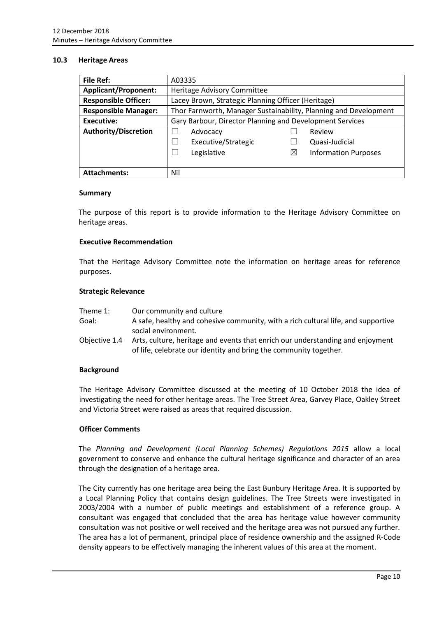#### <span id="page-10-0"></span>**10.3 Heritage Areas**

| <b>File Ref:</b>            | A03335                                                           |          |                             |
|-----------------------------|------------------------------------------------------------------|----------|-----------------------------|
| <b>Applicant/Proponent:</b> | Heritage Advisory Committee                                      |          |                             |
| <b>Responsible Officer:</b> | Lacey Brown, Strategic Planning Officer (Heritage)               |          |                             |
| <b>Responsible Manager:</b> | Thor Farnworth, Manager Sustainability, Planning and Development |          |                             |
| <b>Executive:</b>           | Gary Barbour, Director Planning and Development Services         |          |                             |
| <b>Authority/Discretion</b> | Advocacy                                                         |          | Review                      |
|                             | Executive/Strategic                                              |          | Quasi-Judicial              |
|                             | Legislative                                                      | $\times$ | <b>Information Purposes</b> |
|                             |                                                                  |          |                             |
| <b>Attachments:</b>         | Nil                                                              |          |                             |

#### **Summary**

The purpose of this report is to provide information to the Heritage Advisory Committee on heritage areas.

#### **Executive Recommendation**

That the Heritage Advisory Committee note the information on heritage areas for reference purposes.

#### **Strategic Relevance**

| Theme 1:      | Our community and culture                                                         |
|---------------|-----------------------------------------------------------------------------------|
| Goal:         | A safe, healthy and cohesive community, with a rich cultural life, and supportive |
|               | social environment.                                                               |
| Objective 1.4 | Arts, culture, heritage and events that enrich our understanding and enjoyment    |
|               | of life, celebrate our identity and bring the community together.                 |

#### **Background**

The Heritage Advisory Committee discussed at the meeting of 10 October 2018 the idea of investigating the need for other heritage areas. The Tree Street Area, Garvey Place, Oakley Street and Victoria Street were raised as areas that required discussion.

### **Officer Comments**

The *Planning and Development (Local Planning Schemes) Regulations 2015* allow a local government to conserve and enhance the cultural heritage significance and character of an area through the designation of a heritage area.

The City currently has one heritage area being the East Bunbury Heritage Area. It is supported by a Local Planning Policy that contains design guidelines. The Tree Streets were investigated in 2003/2004 with a number of public meetings and establishment of a reference group. A consultant was engaged that concluded that the area has heritage value however community consultation was not positive or well received and the heritage area was not pursued any further. The area has a lot of permanent, principal place of residence ownership and the assigned R-Code density appears to be effectively managing the inherent values of this area at the moment.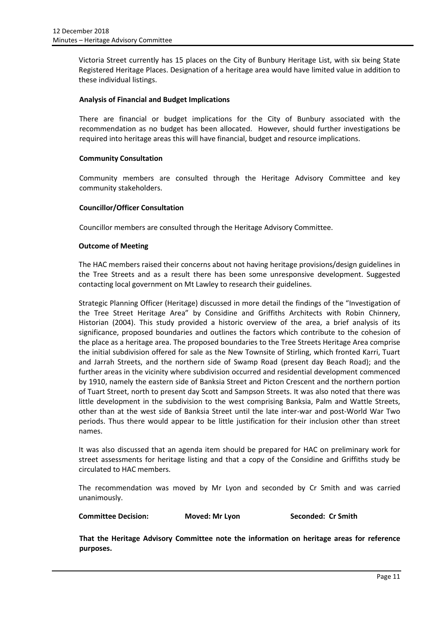Victoria Street currently has 15 places on the City of Bunbury Heritage List, with six being State Registered Heritage Places. Designation of a heritage area would have limited value in addition to these individual listings.

#### **Analysis of Financial and Budget Implications**

There are financial or budget implications for the City of Bunbury associated with the recommendation as no budget has been allocated. However, should further investigations be required into heritage areas this will have financial, budget and resource implications.

#### **Community Consultation**

Community members are consulted through the Heritage Advisory Committee and key community stakeholders.

#### **Councillor/Officer Consultation**

Councillor members are consulted through the Heritage Advisory Committee.

#### **Outcome of Meeting**

The HAC members raised their concerns about not having heritage provisions/design guidelines in the Tree Streets and as a result there has been some unresponsive development. Suggested contacting local government on Mt Lawley to research their guidelines.

Strategic Planning Officer (Heritage) discussed in more detail the findings of the "Investigation of the Tree Street Heritage Area" by Considine and Griffiths Architects with Robin Chinnery, Historian (2004). This study provided a historic overview of the area, a brief analysis of its significance, proposed boundaries and outlines the factors which contribute to the cohesion of the place as a heritage area. The proposed boundaries to the Tree Streets Heritage Area comprise the initial subdivision offered for sale as the New Townsite of Stirling, which fronted Karri, Tuart and Jarrah Streets, and the northern side of Swamp Road (present day Beach Road); and the further areas in the vicinity where subdivision occurred and residential development commenced by 1910, namely the eastern side of Banksia Street and Picton Crescent and the northern portion of Tuart Street, north to present day Scott and Sampson Streets. It was also noted that there was little development in the subdivision to the west comprising Banksia, Palm and Wattle Streets, other than at the west side of Banksia Street until the late inter-war and post-World War Two periods. Thus there would appear to be little justification for their inclusion other than street names.

It was also discussed that an agenda item should be prepared for HAC on preliminary work for street assessments for heritage listing and that a copy of the Considine and Griffiths study be circulated to HAC members.

The recommendation was moved by Mr Lyon and seconded by Cr Smith and was carried unanimously.

| <b>Committee Decision:</b> | Moved: Mr Lyon | Seconded: Cr Smith |
|----------------------------|----------------|--------------------|
|----------------------------|----------------|--------------------|

**That the Heritage Advisory Committee note the information on heritage areas for reference purposes.**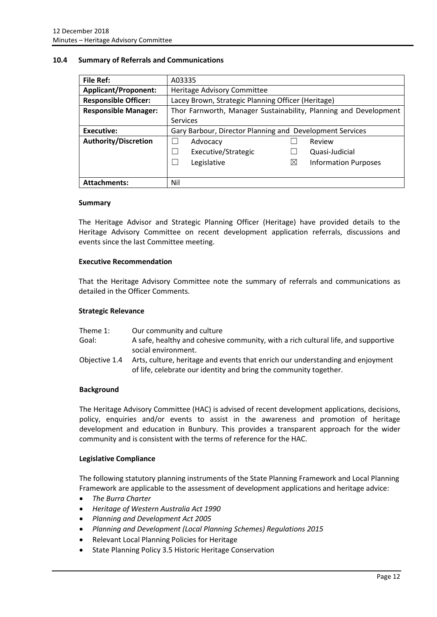#### <span id="page-12-0"></span>**10.4 Summary of Referrals and Communications**

| <b>File Ref:</b>            | A03335                                                           |   |                             |
|-----------------------------|------------------------------------------------------------------|---|-----------------------------|
| <b>Applicant/Proponent:</b> | Heritage Advisory Committee                                      |   |                             |
| <b>Responsible Officer:</b> | Lacey Brown, Strategic Planning Officer (Heritage)               |   |                             |
| <b>Responsible Manager:</b> | Thor Farnworth, Manager Sustainability, Planning and Development |   |                             |
|                             | Services                                                         |   |                             |
| Executive:                  | Gary Barbour, Director Planning and Development Services         |   |                             |
| <b>Authority/Discretion</b> | Advocacy<br>Review                                               |   |                             |
|                             | Executive/Strategic<br>$\overline{\phantom{0}}$                  |   | Quasi-Judicial              |
|                             | Legislative                                                      | ⋉ | <b>Information Purposes</b> |
|                             |                                                                  |   |                             |
| <b>Attachments:</b>         | Nil                                                              |   |                             |

#### **Summary**

The Heritage Advisor and Strategic Planning Officer (Heritage) have provided details to the Heritage Advisory Committee on recent development application referrals, discussions and events since the last Committee meeting.

#### **Executive Recommendation**

That the Heritage Advisory Committee note the summary of referrals and communications as detailed in the Officer Comments.

#### **Strategic Relevance**

| Theme 1:      | Our community and culture                                                                                                                           |
|---------------|-----------------------------------------------------------------------------------------------------------------------------------------------------|
| Goal:         | A safe, healthy and cohesive community, with a rich cultural life, and supportive                                                                   |
|               | social environment.                                                                                                                                 |
| Objective 1.4 | Arts, culture, heritage and events that enrich our understanding and enjoyment<br>of life, celebrate our identity and bring the community together. |

#### **Background**

The Heritage Advisory Committee (HAC) is advised of recent development applications, decisions, policy, enquiries and/or events to assist in the awareness and promotion of heritage development and education in Bunbury. This provides a transparent approach for the wider community and is consistent with the terms of reference for the HAC.

#### **Legislative Compliance**

The following statutory planning instruments of the State Planning Framework and Local Planning Framework are applicable to the assessment of development applications and heritage advice:

- *The Burra Charter*
- *Heritage of Western Australia Act 1990*
- *Planning and Development Act 2005*
- *Planning and Development (Local Planning Schemes) Regulations 2015*
- Relevant Local Planning Policies for Heritage
- State Planning Policy 3.5 Historic Heritage Conservation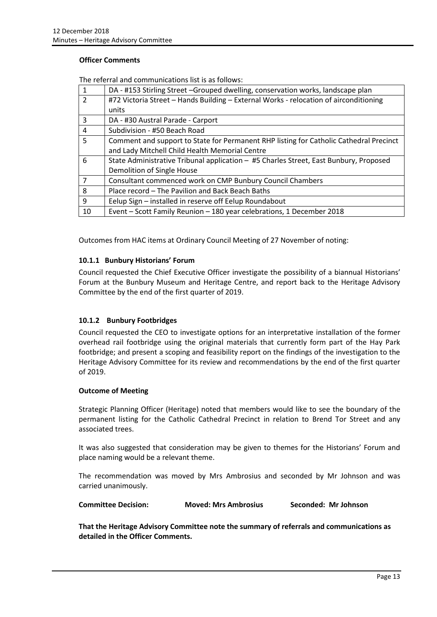#### **Officer Comments**

| $\overline{1}$ | DA - #153 Stirling Street -Grouped dwelling, conservation works, landscape plan        |
|----------------|----------------------------------------------------------------------------------------|
| $\overline{2}$ | #72 Victoria Street - Hands Building - External Works - relocation of airconditioning  |
|                | units                                                                                  |
| 3              | DA - #30 Austral Parade - Carport                                                      |
| 4              | Subdivision - #50 Beach Road                                                           |
| 5              | Comment and support to State for Permanent RHP listing for Catholic Cathedral Precinct |
|                | and Lady Mitchell Child Health Memorial Centre                                         |
| 6              | State Administrative Tribunal application - #5 Charles Street, East Bunbury, Proposed  |
|                | Demolition of Single House                                                             |
| $\overline{7}$ | Consultant commenced work on CMP Bunbury Council Chambers                              |
| 8              | Place record - The Pavilion and Back Beach Baths                                       |
| 9              | Eelup Sign - installed in reserve off Eelup Roundabout                                 |
| 10             | Event - Scott Family Reunion - 180 year celebrations, 1 December 2018                  |

Outcomes from HAC items at Ordinary Council Meeting of 27 November of noting:

#### **10.1.1 Bunbury Historians' Forum**

Council requested the Chief Executive Officer investigate the possibility of a biannual Historians' Forum at the Bunbury Museum and Heritage Centre, and report back to the Heritage Advisory Committee by the end of the first quarter of 2019.

#### **10.1.2 Bunbury Footbridges**

Council requested the CEO to investigate options for an interpretative installation of the former overhead rail footbridge using the original materials that currently form part of the Hay Park footbridge; and present a scoping and feasibility report on the findings of the investigation to the Heritage Advisory Committee for its review and recommendations by the end of the first quarter of 2019.

#### **Outcome of Meeting**

Strategic Planning Officer (Heritage) noted that members would like to see the boundary of the permanent listing for the Catholic Cathedral Precinct in relation to Brend Tor Street and any associated trees.

It was also suggested that consideration may be given to themes for the Historians' Forum and place naming would be a relevant theme.

The recommendation was moved by Mrs Ambrosius and seconded by Mr Johnson and was carried unanimously.

**Committee Decision: Moved: Mrs Ambrosius Seconded: Mr Johnson**

**That the Heritage Advisory Committee note the summary of referrals and communications as detailed in the Officer Comments.**